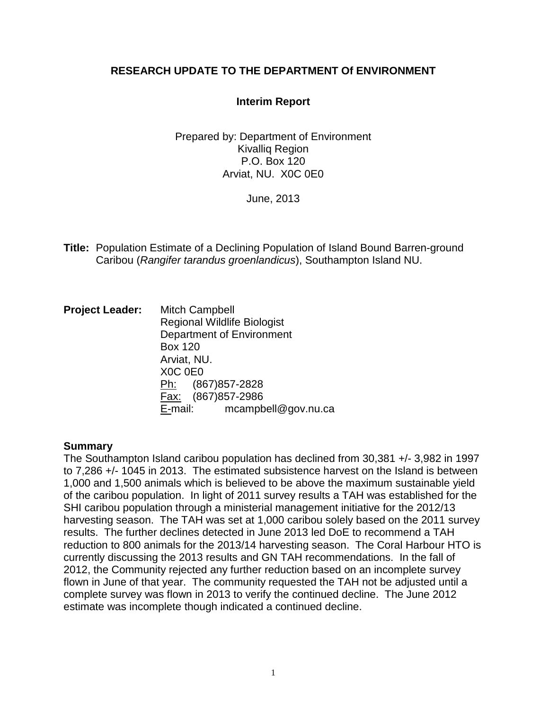# **RESEARCH UPDATE TO THE DEPARTMENT Of ENVIRONMENT**

# **Interim Report**

Prepared by: Department of Environment Kivalliq Region P.O. Box 120 Arviat, NU. X0C 0E0

June, 2013

**Title:** Population Estimate of a Declining Population of Island Bound Barren-ground Caribou (*Rangifer tarandus groenlandicus*), Southampton Island NU.

**Project Leader:** Mitch Campbell Regional Wildlife Biologist Department of Environment Box 120 Arviat, NU. X0C 0E0 Ph: (867) 857-2828 Fax: (867)857-2986 E-mail: mcampbell@gov.nu.ca

# **Summary**

The Southampton Island caribou population has declined from 30,381 +/- 3,982 in 1997 to 7,286 +/- 1045 in 2013. The estimated subsistence harvest on the Island is between 1,000 and 1,500 animals which is believed to be above the maximum sustainable yield of the caribou population. In light of 2011 survey results a TAH was established for the SHI caribou population through a ministerial management initiative for the 2012/13 harvesting season. The TAH was set at 1,000 caribou solely based on the 2011 survey results. The further declines detected in June 2013 led DoE to recommend a TAH reduction to 800 animals for the 2013/14 harvesting season. The Coral Harbour HTO is currently discussing the 2013 results and GN TAH recommendations. In the fall of 2012, the Community rejected any further reduction based on an incomplete survey flown in June of that year. The community requested the TAH not be adjusted until a complete survey was flown in 2013 to verify the continued decline. The June 2012 estimate was incomplete though indicated a continued decline.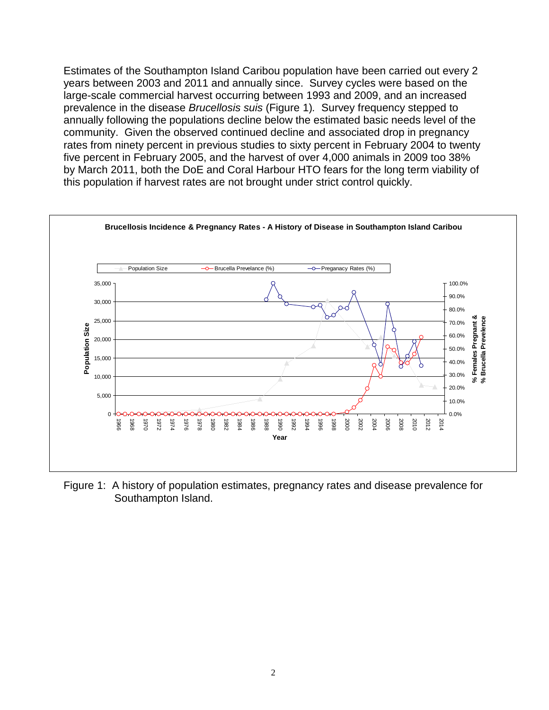Estimates of the Southampton Island Caribou population have been carried out every 2 years between 2003 and 2011 and annually since. Survey cycles were based on the large-scale commercial harvest occurring between 1993 and 2009, and an increased prevalence in the disease *Brucellosis suis* (Figure 1)*.* Survey frequency stepped to annually following the populations decline below the estimated basic needs level of the community. Given the observed continued decline and associated drop in pregnancy rates from ninety percent in previous studies to sixty percent in February 2004 to twenty five percent in February 2005, and the harvest of over 4,000 animals in 2009 too 38% by March 2011, both the DoE and Coral Harbour HTO fears for the long term viability of this population if harvest rates are not brought under strict control quickly.



Figure 1: A history of population estimates, pregnancy rates and disease prevalence for Southampton Island.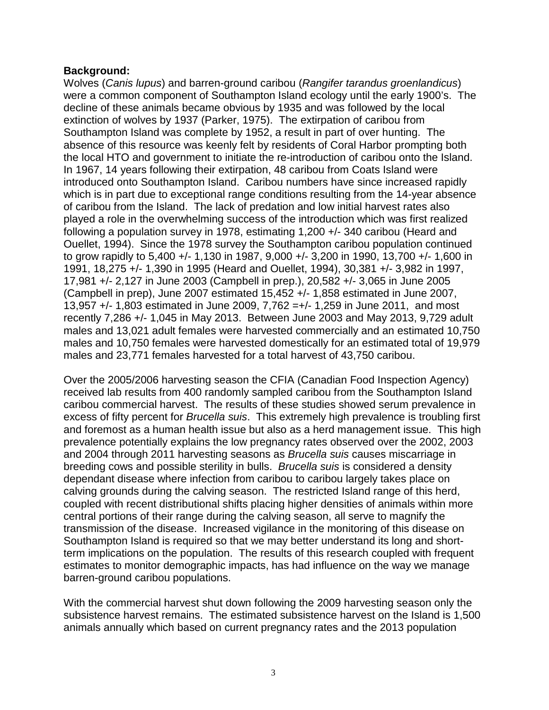# **Background:**

Wolves (*Canis lupus*) and barren-ground caribou (*Rangifer tarandus groenlandicus*) were a common component of Southampton Island ecology until the early 1900's. The decline of these animals became obvious by 1935 and was followed by the local extinction of wolves by 1937 (Parker, 1975). The extirpation of caribou from Southampton Island was complete by 1952, a result in part of over hunting. The absence of this resource was keenly felt by residents of Coral Harbor prompting both the local HTO and government to initiate the re-introduction of caribou onto the Island. In 1967, 14 years following their extirpation, 48 caribou from Coats Island were introduced onto Southampton Island. Caribou numbers have since increased rapidly which is in part due to exceptional range conditions resulting from the 14-year absence of caribou from the Island. The lack of predation and low initial harvest rates also played a role in the overwhelming success of the introduction which was first realized following a population survey in 1978, estimating 1,200 +/- 340 caribou (Heard and Ouellet, 1994). Since the 1978 survey the Southampton caribou population continued to grow rapidly to 5,400 +/- 1,130 in 1987, 9,000 +/- 3,200 in 1990, 13,700 +/- 1,600 in 1991, 18,275 +/- 1,390 in 1995 (Heard and Ouellet, 1994), 30,381 +/- 3,982 in 1997, 17,981 +/- 2,127 in June 2003 (Campbell in prep.), 20,582 +/- 3,065 in June 2005 (Campbell in prep), June 2007 estimated 15,452 +/- 1,858 estimated in June 2007, 13,957 +/- 1,803 estimated in June 2009, 7,762 =+/- 1,259 in June 2011, and most recently 7,286 +/- 1,045 in May 2013. Between June 2003 and May 2013, 9,729 adult males and 13,021 adult females were harvested commercially and an estimated 10,750 males and 10,750 females were harvested domestically for an estimated total of 19,979 males and 23,771 females harvested for a total harvest of 43,750 caribou.

Over the 2005/2006 harvesting season the CFIA (Canadian Food Inspection Agency) received lab results from 400 randomly sampled caribou from the Southampton Island caribou commercial harvest. The results of these studies showed serum prevalence in excess of fifty percent for *Brucella suis*. This extremely high prevalence is troubling first and foremost as a human health issue but also as a herd management issue. This high prevalence potentially explains the low pregnancy rates observed over the 2002, 2003 and 2004 through 2011 harvesting seasons as *Brucella suis* causes miscarriage in breeding cows and possible sterility in bulls. *Brucella suis* is considered a density dependant disease where infection from caribou to caribou largely takes place on calving grounds during the calving season. The restricted Island range of this herd, coupled with recent distributional shifts placing higher densities of animals within more central portions of their range during the calving season, all serve to magnify the transmission of the disease. Increased vigilance in the monitoring of this disease on Southampton Island is required so that we may better understand its long and shortterm implications on the population. The results of this research coupled with frequent estimates to monitor demographic impacts, has had influence on the way we manage barren-ground caribou populations.

With the commercial harvest shut down following the 2009 harvesting season only the subsistence harvest remains. The estimated subsistence harvest on the Island is 1,500 animals annually which based on current pregnancy rates and the 2013 population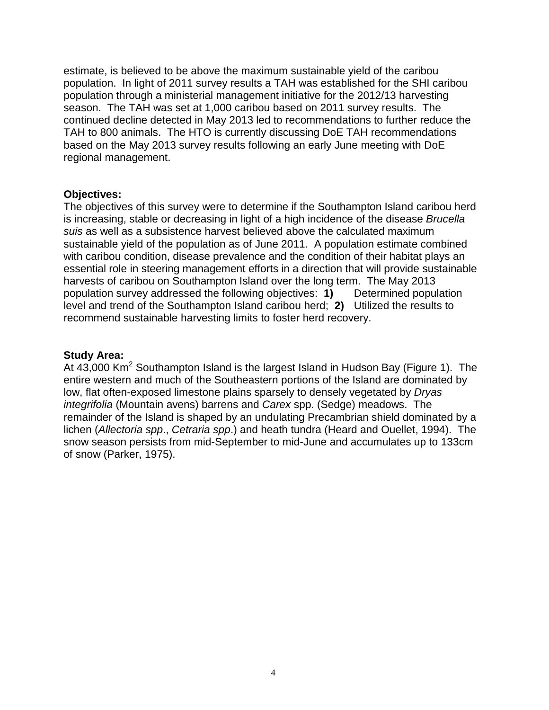estimate, is believed to be above the maximum sustainable yield of the caribou population. In light of 2011 survey results a TAH was established for the SHI caribou population through a ministerial management initiative for the 2012/13 harvesting season. The TAH was set at 1,000 caribou based on 2011 survey results. The continued decline detected in May 2013 led to recommendations to further reduce the TAH to 800 animals. The HTO is currently discussing DoE TAH recommendations based on the May 2013 survey results following an early June meeting with DoE regional management.

#### **Objectives:**

The objectives of this survey were to determine if the Southampton Island caribou herd is increasing, stable or decreasing in light of a high incidence of the disease *Brucella suis* as well as a subsistence harvest believed above the calculated maximum sustainable yield of the population as of June 2011. A population estimate combined with caribou condition, disease prevalence and the condition of their habitat plays an essential role in steering management efforts in a direction that will provide sustainable harvests of caribou on Southampton Island over the long term. The May 2013 population survey addressed the following objectives: **1)** Determined population level and trend of the Southampton Island caribou herd; **2)** Utilized the results to recommend sustainable harvesting limits to foster herd recovery.

# **Study Area:**

At 43,000 Km<sup>2</sup> Southampton Island is the largest Island in Hudson Bay (Figure 1). The entire western and much of the Southeastern portions of the Island are dominated by low, flat often-exposed limestone plains sparsely to densely vegetated by *Dryas integrifolia* (Mountain avens) barrens and *Carex* spp. (Sedge) meadows. The remainder of the Island is shaped by an undulating Precambrian shield dominated by a lichen (*Allectoria spp*., *Cetraria spp*.) and heath tundra (Heard and Ouellet, 1994). The snow season persists from mid-September to mid-June and accumulates up to 133cm of snow (Parker, 1975).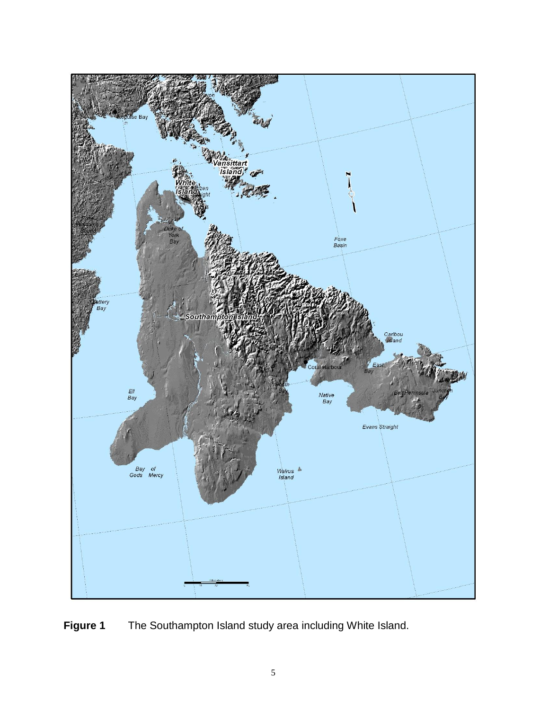

**Figure 1** The Southampton Island study area including White Island.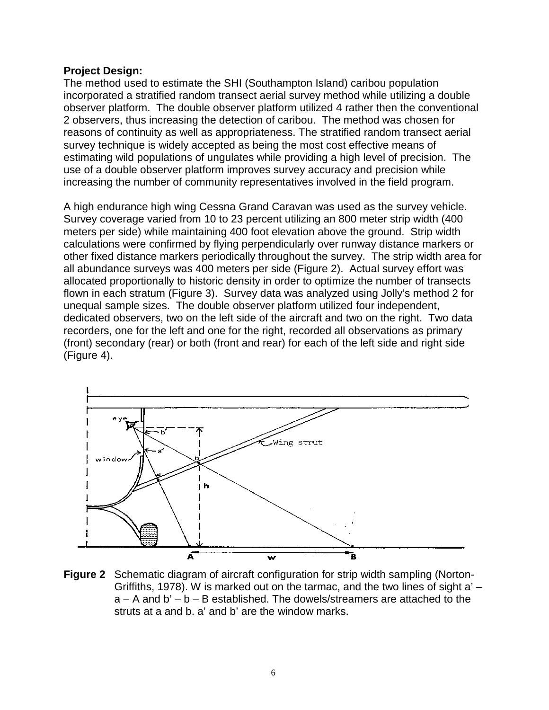#### **Project Design:**

The method used to estimate the SHI (Southampton Island) caribou population incorporated a stratified random transect aerial survey method while utilizing a double observer platform. The double observer platform utilized 4 rather then the conventional 2 observers, thus increasing the detection of caribou. The method was chosen for reasons of continuity as well as appropriateness. The stratified random transect aerial survey technique is widely accepted as being the most cost effective means of estimating wild populations of ungulates while providing a high level of precision. The use of a double observer platform improves survey accuracy and precision while increasing the number of community representatives involved in the field program.

A high endurance high wing Cessna Grand Caravan was used as the survey vehicle. Survey coverage varied from 10 to 23 percent utilizing an 800 meter strip width (400 meters per side) while maintaining 400 foot elevation above the ground. Strip width calculations were confirmed by flying perpendicularly over runway distance markers or other fixed distance markers periodically throughout the survey. The strip width area for all abundance surveys was 400 meters per side (Figure 2). Actual survey effort was allocated proportionally to historic density in order to optimize the number of transects flown in each stratum (Figure 3). Survey data was analyzed using Jolly's method 2 for unequal sample sizes. The double observer platform utilized four independent, dedicated observers, two on the left side of the aircraft and two on the right. Two data recorders, one for the left and one for the right, recorded all observations as primary (front) secondary (rear) or both (front and rear) for each of the left side and right side (Figure 4).



**Figure 2** Schematic diagram of aircraft configuration for strip width sampling (Norton-Griffiths, 1978). W is marked out on the tarmac, and the two lines of sight a' –  $a - A$  and  $b' - b - B$  established. The dowels/streamers are attached to the struts at a and b. a' and b' are the window marks.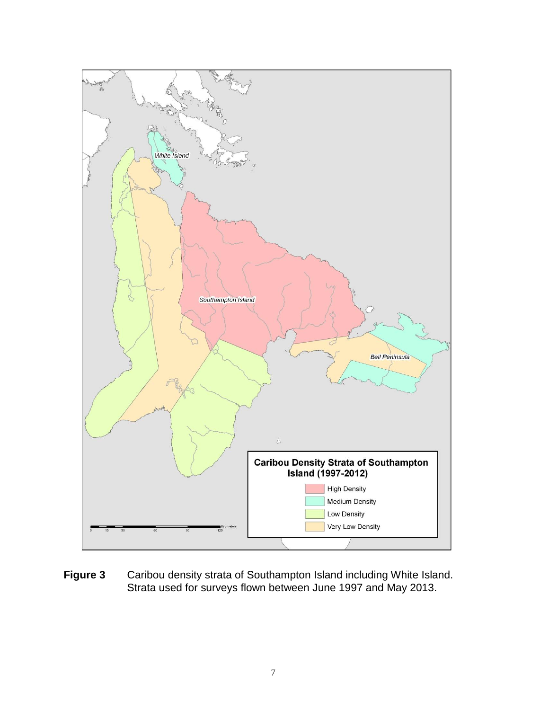

**Figure 3** Caribou density strata of Southampton Island including White Island. Strata used for surveys flown between June 1997 and May 2013.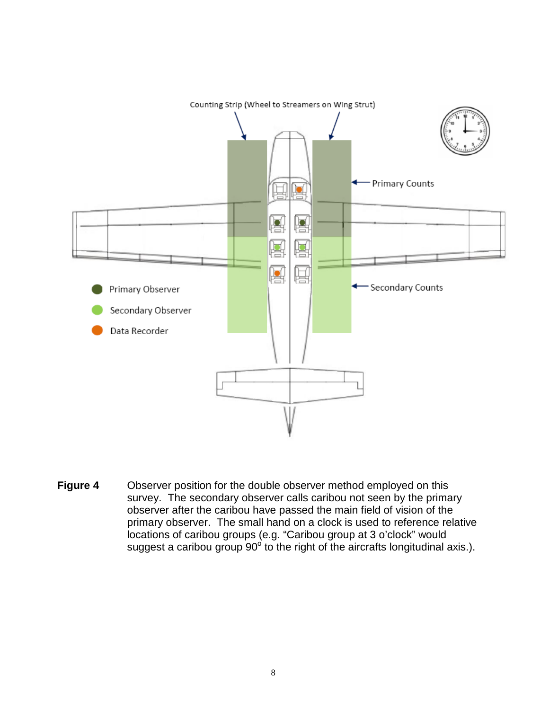

**Figure 4** Observer position for the double observer method employed on this survey. The secondary observer calls caribou not seen by the primary observer after the caribou have passed the main field of vision of the primary observer. The small hand on a clock is used to reference relative locations of caribou groups (e.g. "Caribou group at 3 o'clock" would suggest a caribou group  $90^{\circ}$  to the right of the aircrafts longitudinal axis.).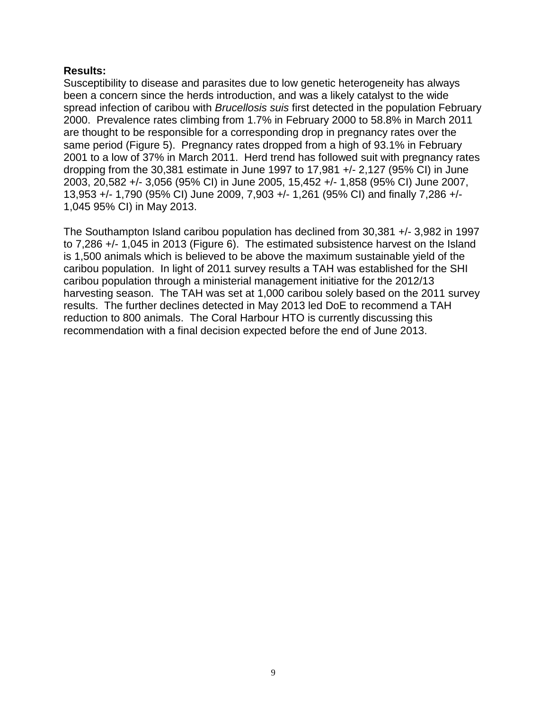#### **Results:**

Susceptibility to disease and parasites due to low genetic heterogeneity has always been a concern since the herds introduction, and was a likely catalyst to the wide spread infection of caribou with *Brucellosis suis* first detected in the population February 2000. Prevalence rates climbing from 1.7% in February 2000 to 58.8% in March 2011 are thought to be responsible for a corresponding drop in pregnancy rates over the same period (Figure 5). Pregnancy rates dropped from a high of 93.1% in February 2001 to a low of 37% in March 2011. Herd trend has followed suit with pregnancy rates dropping from the 30,381 estimate in June 1997 to 17,981 +/- 2,127 (95% CI) in June 2003, 20,582 +/- 3,056 (95% CI) in June 2005, 15,452 +/- 1,858 (95% CI) June 2007, 13,953 +/- 1,790 (95% CI) June 2009, 7,903 +/- 1,261 (95% CI) and finally 7,286 +/- 1,045 95% CI) in May 2013.

The Southampton Island caribou population has declined from 30,381 +/- 3,982 in 1997 to 7,286 +/- 1,045 in 2013 (Figure 6). The estimated subsistence harvest on the Island is 1,500 animals which is believed to be above the maximum sustainable yield of the caribou population. In light of 2011 survey results a TAH was established for the SHI caribou population through a ministerial management initiative for the 2012/13 harvesting season. The TAH was set at 1,000 caribou solely based on the 2011 survey results. The further declines detected in May 2013 led DoE to recommend a TAH reduction to 800 animals. The Coral Harbour HTO is currently discussing this recommendation with a final decision expected before the end of June 2013.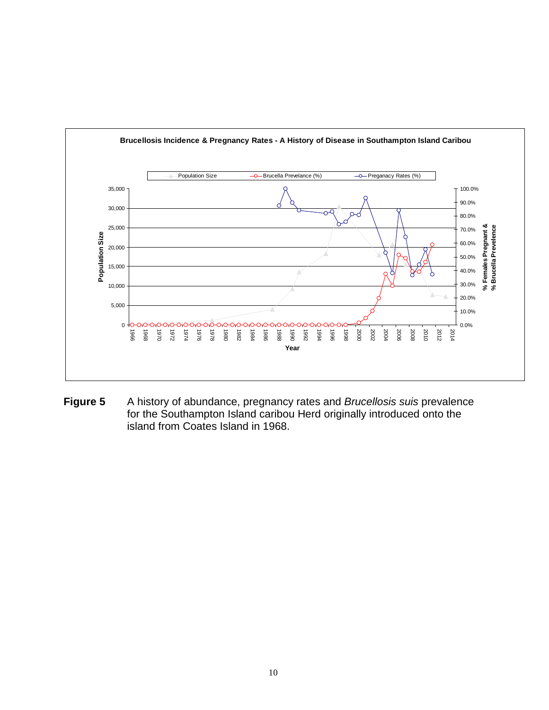

**Figure 5** A history of abundance, pregnancy rates and *Brucellosis suis* prevalence for the Southampton Island caribou Herd originally introduced onto the island from Coates Island in 1968.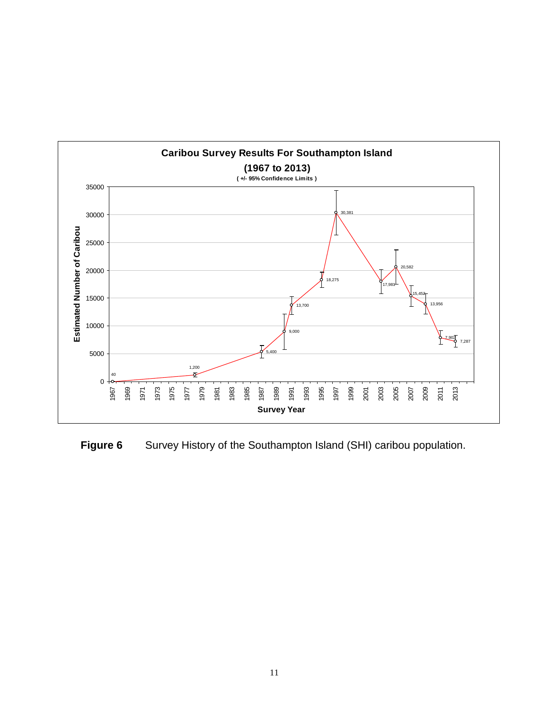

**Figure 6** Survey History of the Southampton Island (SHI) caribou population.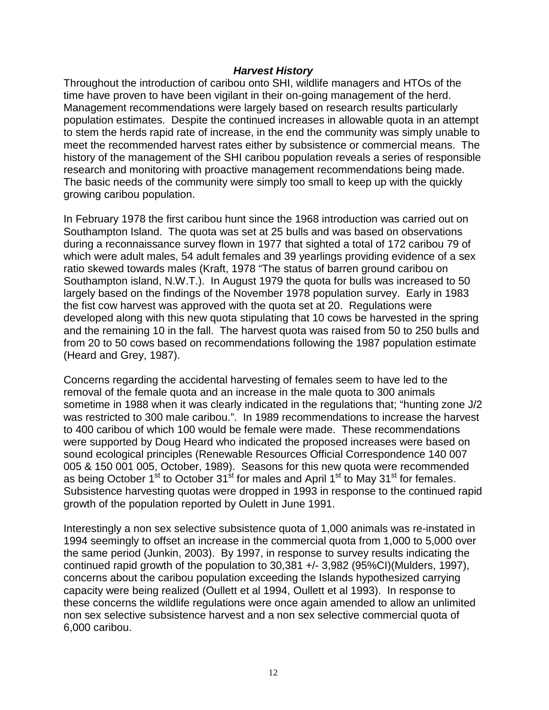# *Harvest History*

Throughout the introduction of caribou onto SHI, wildlife managers and HTOs of the time have proven to have been vigilant in their on-going management of the herd. Management recommendations were largely based on research results particularly population estimates. Despite the continued increases in allowable quota in an attempt to stem the herds rapid rate of increase, in the end the community was simply unable to meet the recommended harvest rates either by subsistence or commercial means. The history of the management of the SHI caribou population reveals a series of responsible research and monitoring with proactive management recommendations being made. The basic needs of the community were simply too small to keep up with the quickly growing caribou population.

In February 1978 the first caribou hunt since the 1968 introduction was carried out on Southampton Island. The quota was set at 25 bulls and was based on observations during a reconnaissance survey flown in 1977 that sighted a total of 172 caribou 79 of which were adult males, 54 adult females and 39 yearlings providing evidence of a sex ratio skewed towards males (Kraft, 1978 "The status of barren ground caribou on Southampton island, N.W.T.). In August 1979 the quota for bulls was increased to 50 largely based on the findings of the November 1978 population survey. Early in 1983 the fist cow harvest was approved with the quota set at 20. Regulations were developed along with this new quota stipulating that 10 cows be harvested in the spring and the remaining 10 in the fall. The harvest quota was raised from 50 to 250 bulls and from 20 to 50 cows based on recommendations following the 1987 population estimate (Heard and Grey, 1987).

Concerns regarding the accidental harvesting of females seem to have led to the removal of the female quota and an increase in the male quota to 300 animals sometime in 1988 when it was clearly indicated in the regulations that; "hunting zone J/2 was restricted to 300 male caribou.". In 1989 recommendations to increase the harvest to 400 caribou of which 100 would be female were made. These recommendations were supported by Doug Heard who indicated the proposed increases were based on sound ecological principles (Renewable Resources Official Correspondence 140 007 005 & 150 001 005, October, 1989). Seasons for this new quota were recommended as being October  $1^{st}$  to October  $31^{st}$  for males and April  $1^{st}$  to May  $31^{st}$  for females. Subsistence harvesting quotas were dropped in 1993 in response to the continued rapid growth of the population reported by Oulett in June 1991.

Interestingly a non sex selective subsistence quota of 1,000 animals was re-instated in 1994 seemingly to offset an increase in the commercial quota from 1,000 to 5,000 over the same period (Junkin, 2003). By 1997, in response to survey results indicating the continued rapid growth of the population to 30,381 +/- 3,982 (95%CI)(Mulders, 1997), concerns about the caribou population exceeding the Islands hypothesized carrying capacity were being realized (Oullett et al 1994, Oullett et al 1993). In response to these concerns the wildlife regulations were once again amended to allow an unlimited non sex selective subsistence harvest and a non sex selective commercial quota of 6,000 caribou.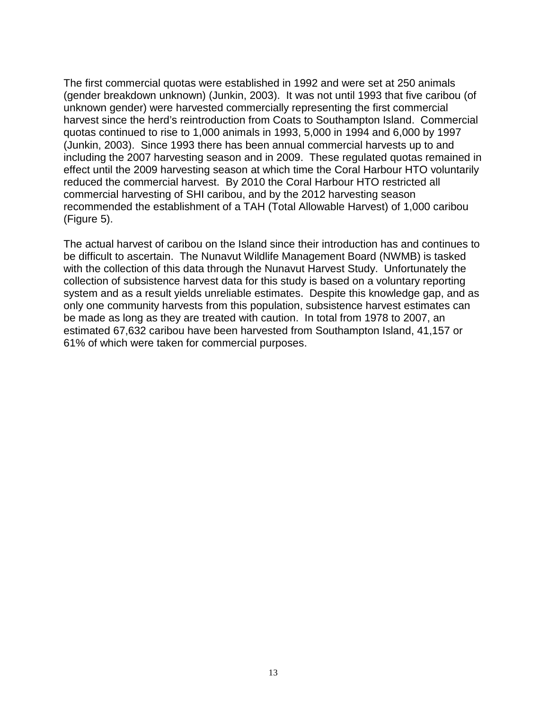The first commercial quotas were established in 1992 and were set at 250 animals (gender breakdown unknown) (Junkin, 2003). It was not until 1993 that five caribou (of unknown gender) were harvested commercially representing the first commercial harvest since the herd's reintroduction from Coats to Southampton Island. Commercial quotas continued to rise to 1,000 animals in 1993, 5,000 in 1994 and 6,000 by 1997 (Junkin, 2003). Since 1993 there has been annual commercial harvests up to and including the 2007 harvesting season and in 2009. These regulated quotas remained in effect until the 2009 harvesting season at which time the Coral Harbour HTO voluntarily reduced the commercial harvest. By 2010 the Coral Harbour HTO restricted all commercial harvesting of SHI caribou, and by the 2012 harvesting season recommended the establishment of a TAH (Total Allowable Harvest) of 1,000 caribou (Figure 5).

The actual harvest of caribou on the Island since their introduction has and continues to be difficult to ascertain. The Nunavut Wildlife Management Board (NWMB) is tasked with the collection of this data through the Nunavut Harvest Study. Unfortunately the collection of subsistence harvest data for this study is based on a voluntary reporting system and as a result yields unreliable estimates. Despite this knowledge gap, and as only one community harvests from this population, subsistence harvest estimates can be made as long as they are treated with caution. In total from 1978 to 2007, an estimated 67,632 caribou have been harvested from Southampton Island, 41,157 or 61% of which were taken for commercial purposes.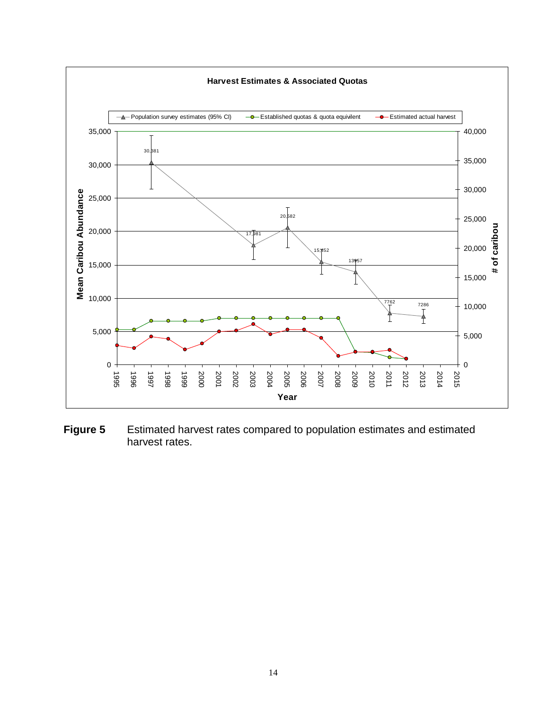

**Figure 5** Estimated harvest rates compared to population estimates and estimated harvest rates.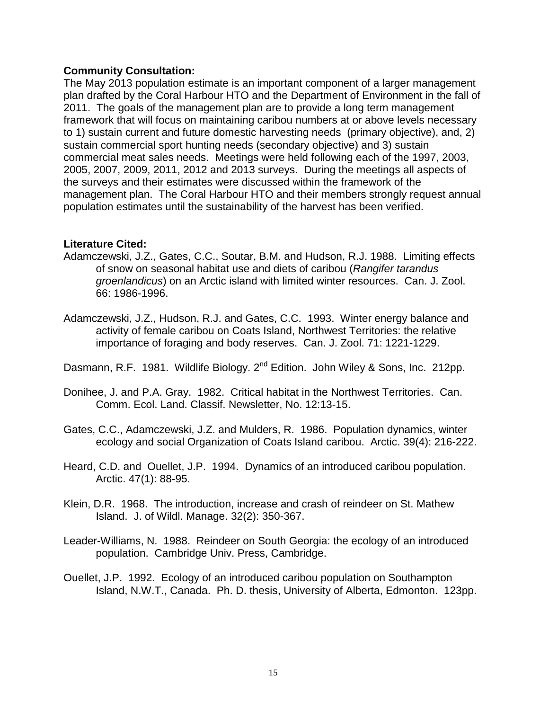#### **Community Consultation:**

The May 2013 population estimate is an important component of a larger management plan drafted by the Coral Harbour HTO and the Department of Environment in the fall of 2011. The goals of the management plan are to provide a long term management framework that will focus on maintaining caribou numbers at or above levels necessary to 1) sustain current and future domestic harvesting needs (primary objective), and, 2) sustain commercial sport hunting needs (secondary objective) and 3) sustain commercial meat sales needs. Meetings were held following each of the 1997, 2003, 2005, 2007, 2009, 2011, 2012 and 2013 surveys. During the meetings all aspects of the surveys and their estimates were discussed within the framework of the management plan. The Coral Harbour HTO and their members strongly request annual population estimates until the sustainability of the harvest has been verified.

#### **Literature Cited:**

- Adamczewski, J.Z., Gates, C.C., Soutar, B.M. and Hudson, R.J. 1988. Limiting effects of snow on seasonal habitat use and diets of caribou (*Rangifer tarandus groenlandicus*) on an Arctic island with limited winter resources. Can. J. Zool. 66: 1986-1996.
- Adamczewski, J.Z., Hudson, R.J. and Gates, C.C. 1993. Winter energy balance and activity of female caribou on Coats Island, Northwest Territories: the relative importance of foraging and body reserves. Can. J. Zool. 71: 1221-1229.
- Dasmann, R.F. 1981. Wildlife Biology. 2<sup>nd</sup> Edition. John Wiley & Sons, Inc. 212pp.
- Donihee, J. and P.A. Gray. 1982. Critical habitat in the Northwest Territories. Can. Comm. Ecol. Land. Classif. Newsletter, No. 12:13-15.
- Gates, C.C., Adamczewski, J.Z. and Mulders, R. 1986. Population dynamics, winter ecology and social Organization of Coats Island caribou. Arctic. 39(4): 216-222.
- Heard, C.D. and Ouellet, J.P. 1994. Dynamics of an introduced caribou population. Arctic. 47(1): 88-95.
- Klein, D.R. 1968. The introduction, increase and crash of reindeer on St. Mathew Island. J. of Wildl. Manage. 32(2): 350-367.
- Leader-Williams, N. 1988. Reindeer on South Georgia: the ecology of an introduced population. Cambridge Univ. Press, Cambridge.
- Ouellet, J.P. 1992. Ecology of an introduced caribou population on Southampton Island, N.W.T., Canada. Ph. D. thesis, University of Alberta, Edmonton. 123pp.